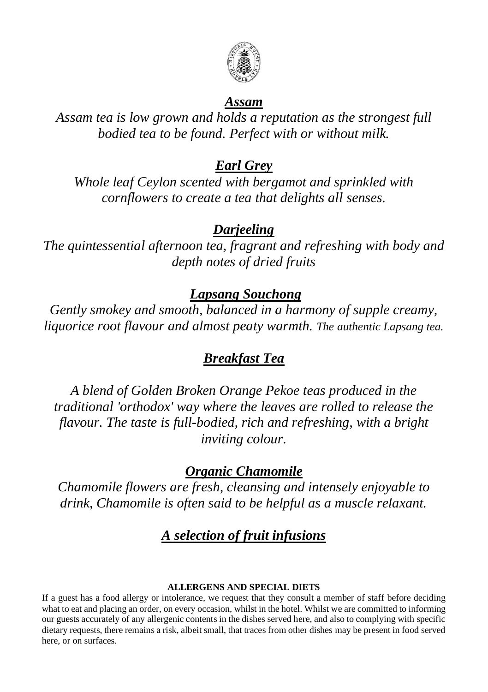

#### *Assam*

*Assam tea is low grown and holds a reputation as the strongest full bodied tea to be found. Perfect with or without milk.*

#### *Earl Grey*

*Whole leaf Ceylon scented with bergamot and sprinkled with cornflowers to create a tea that delights all senses.*

#### *Darjeeling*

*The quintessential afternoon tea, fragrant and refreshing with body and depth notes of dried fruits*

#### *Lapsang Souchong*

*Gently smokey and smooth, balanced in a harmony of supple creamy, liquorice root flavour and almost peaty warmth. The authentic Lapsang tea.*

## *Breakfast Tea*

*A blend of Golden Broken Orange Pekoe teas produced in the traditional 'orthodox' way where the leaves are rolled to release the flavour. The taste is full-bodied, rich and refreshing, with a bright inviting colour.*

## *Organic Chamomile*

*Chamomile flowers are fresh, cleansing and intensely enjoyable to drink, Chamomile is often said to be helpful as a muscle relaxant.*

## *A selection of fruit infusions*

#### **ALLERGENS AND SPECIAL DIETS**

If a guest has a food allergy or intolerance, we request that they consult a member of staff before deciding what to eat and placing an order, on every occasion, whilst in the hotel. Whilst we are committed to informing our guests accurately of any allergenic contents in the dishes served here, and also to complying with specific dietary requests, there remains a risk, albeit small, that traces from other dishes may be present in food served here, or on surfaces.